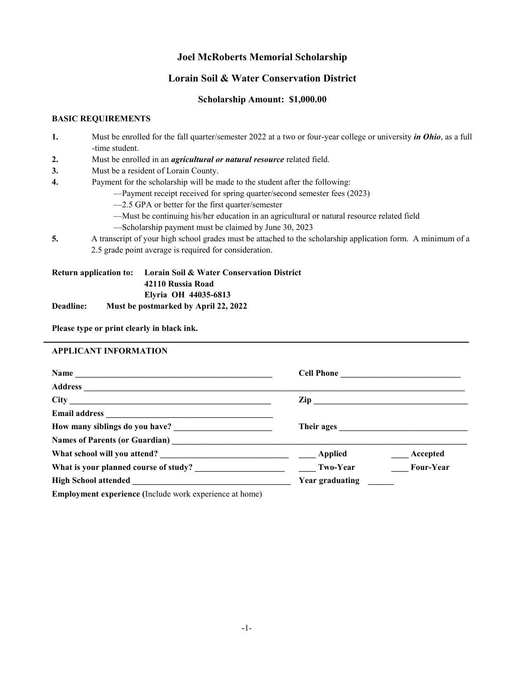# **Joel McRoberts Memorial Scholarship**

### **Lorain Soil & Water Conservation District**

## **Scholarship Amount: \$1,000.00**

#### **BASIC REQUIREMENTS**

| 1. | Must be enrolled for the fall quarter/semester 2022 at a two or four-year college or university <i>in Ohio</i> , as a full |
|----|----------------------------------------------------------------------------------------------------------------------------|
|    | -time student.                                                                                                             |
| 2. | Must be enrolled in an <i>agricultural or natural resource</i> related field.                                              |
| 3. | Must be a resident of Lorain County.                                                                                       |
| 4. | Payment for the scholarship will be made to the student after the following:                                               |
|    | -Payment receipt received for spring quarter/second semester fees (2023)                                                   |
|    | $-2.5$ GPA or better for the first quarter/semester                                                                        |
|    | —Must be continuing his/her education in an agricultural or natural resource related field                                 |
|    | -Scholarship payment must be claimed by June 30, 2023                                                                      |
| 5. | A transcript of your high school grades must be attached to the scholarship application form. A minimum of a               |
|    | 2.5 grade point average is required for consideration.                                                                     |
|    |                                                                                                                            |

**Return application to: Lorain Soil & Water Conservation District 42110 Russia Road Elyria OH 44035-6813 Deadline: Must be postmarked by April 22, 2022**

**Please type or print clearly in black ink.**

#### **APPLICANT INFORMATION**

|                                                              | Cell Phone             |  |  |
|--------------------------------------------------------------|------------------------|--|--|
|                                                              |                        |  |  |
|                                                              |                        |  |  |
|                                                              |                        |  |  |
|                                                              | Their ages             |  |  |
|                                                              |                        |  |  |
|                                                              | ___ Accepted           |  |  |
| What is your planned course of study?<br>Two-Year            | <b>Four-Year</b>       |  |  |
|                                                              | <b>Year graduating</b> |  |  |
| $E_{\text{min}}$ $\left[\text{number}(\text{number})\right]$ |                        |  |  |

**Employment experience (**Include work experience at home)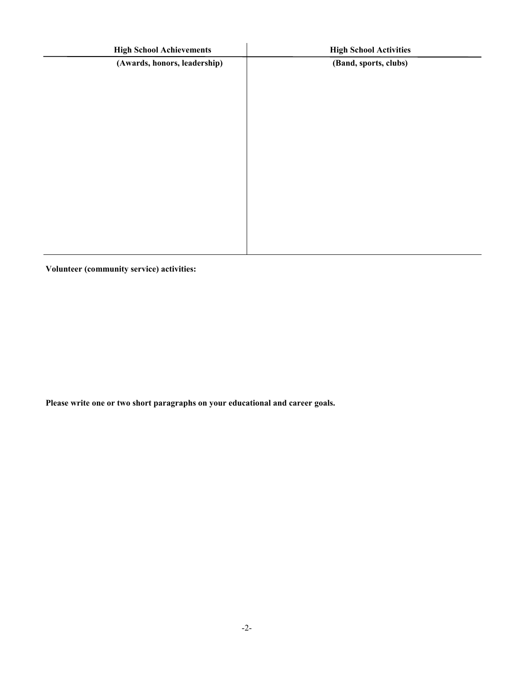| <b>High School Achievements</b> | <b>High School Activities</b> |
|---------------------------------|-------------------------------|
| (Awards, honors, leadership)    | (Band, sports, clubs)         |
|                                 |                               |
|                                 |                               |
|                                 |                               |
|                                 |                               |
|                                 |                               |
|                                 |                               |
|                                 |                               |
|                                 |                               |
|                                 |                               |
|                                 |                               |
|                                 |                               |
|                                 |                               |
|                                 |                               |
|                                 |                               |

**Volunteer (community service) activities:**

**Please write one or two short paragraphs on your educational and career goals.**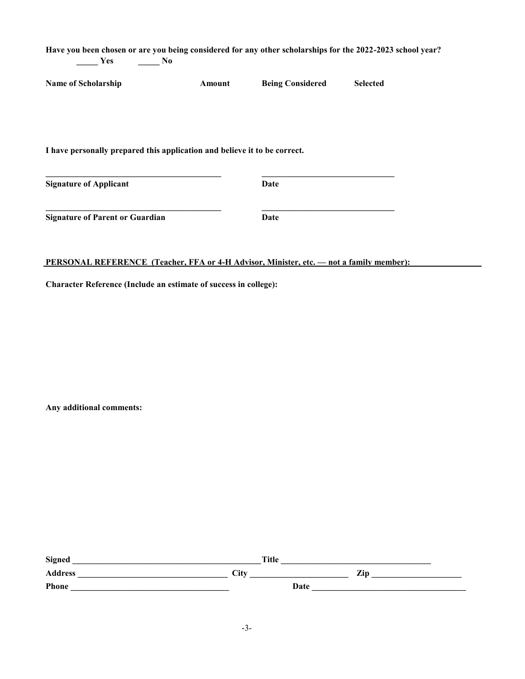**Have you been chosen or are you being considered for any other scholarships for the 2022-2023 school year? \_\_\_\_\_ Yes \_\_\_\_\_ No Name of Scholarship Amount Being Considered Selected**

**I have personally prepared this application and believe it to be correct.**

**Signature of Applicant Date** 

**Signature of Parent or Guardian Date** 

#### **PERSONAL REFERENCE (Teacher, FFA or 4-H Advisor, Minister, etc. — not a family member):**

**\_\_\_\_\_\_\_\_\_\_\_\_\_\_\_\_\_\_\_\_\_\_\_\_\_\_\_\_\_\_\_\_\_\_\_\_\_\_\_\_\_ \_\_\_\_\_\_\_\_\_\_\_\_\_\_\_\_\_\_\_\_\_\_\_\_\_\_\_\_\_\_\_**

**\_\_\_\_\_\_\_\_\_\_\_\_\_\_\_\_\_\_\_\_\_\_\_\_\_\_\_\_\_\_\_\_\_\_\_\_\_\_\_\_\_ \_\_\_\_\_\_\_\_\_\_\_\_\_\_\_\_\_\_\_\_\_\_\_\_\_\_\_\_\_\_\_**

**Character Reference (Include an estimate of success in college):**

**Any additional comments:**

| <b>Signed</b>  | <b>Title</b> |     |
|----------------|--------------|-----|
| <b>Address</b> | City         | Zin |
| Phone          | Date         |     |